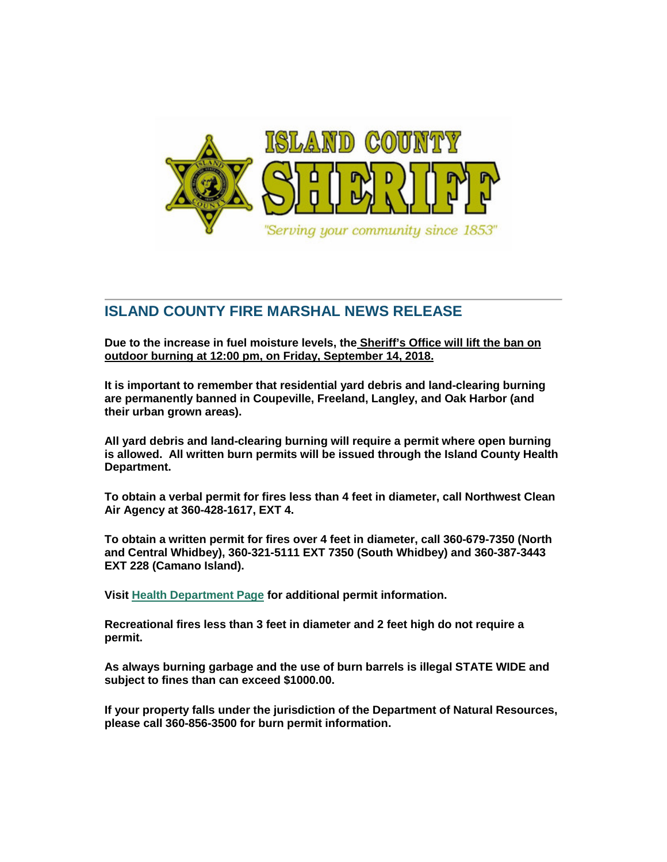

## **ISLAND COUNTY FIRE MARSHAL NEWS RELEASE**

**Due to the increase in fuel moisture levels, the Sheriff's Office will lift the ban on outdoor burning at 12:00 pm, on Friday, September 14, 2018.**

**It is important to remember that residential yard debris and land-clearing burning are permanently banned in Coupeville, Freeland, Langley, and Oak Harbor (and their urban grown areas).**

**All yard debris and land-clearing burning will require a permit where open burning is allowed. All written burn permits will be issued through the Island County Health Department.**

**To obtain a verbal permit for fires less than 4 feet in diameter, call Northwest Clean Air Agency at 360-428-1617, EXT 4.**

**To obtain a written permit for fires over 4 feet in diameter, call 360-679-7350 (North and Central Whidbey), 360-321-5111 EXT 7350 (South Whidbey) and 360-387-3443 EXT 228 (Camano Island).**

**Visit [Health Department Page](https://www.islandcountywa.gov/Health/EH/Burning/Pages/Home.aspx) for additional permit information.**

**Recreational fires less than 3 feet in diameter and 2 feet high do not require a permit.**

**As always burning garbage and the use of burn barrels is illegal STATE WIDE and subject to fines than can exceed \$1000.00.**

**If your property falls under the jurisdiction of the Department of Natural Resources, please call 360-856-3500 for burn permit information.**